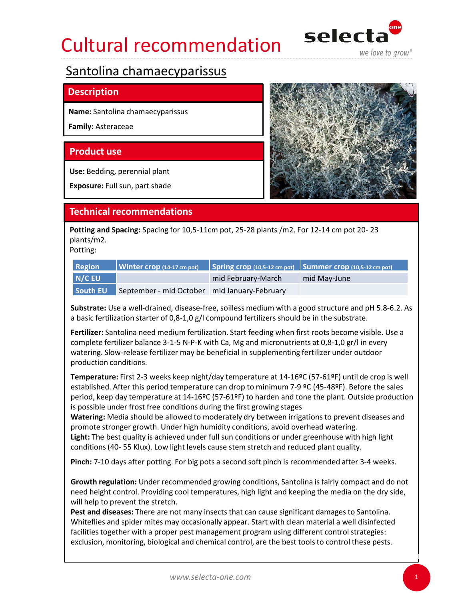# Cultural recommendation selecta



### **Description**

Family: Asteraceae

Use: Bedding, perennial plant

Exposure: Full sun, part shade



plants/m2.

Potting:

| <b>Region</b> |                                              |                    | $\vert$ Winter crop (14-17 cm pot) $\vert$ Spring crop (10,5-12 cm pot) Summer crop (10,5-12 cm pot) |
|---------------|----------------------------------------------|--------------------|------------------------------------------------------------------------------------------------------|
| N/C EU        |                                              | mid February-March | mid May-June                                                                                         |
| South EU      | September - mid October mid January-February |                    |                                                                                                      |

Substrate: Use a well-drained, disease-free, soilless medium with a good structure and pH 5.8-6.2. As a basic fertilization starter of 0,8-1,0 g/l compound fertilizers should be in the substrate.

**Product use**<br> **Exposure:** Full sun, part shade<br> **Exchanges:** Spacing for 10,5-11cm pot, 25-28 plants /m2. For 12-14 cm pot 20-23<br> **Potting and Spacing:** Spacing for 10,5-11cm pot, 25-28 plants /m2. For 12-14 cm pot 20-23<br> complete fertilizer balance 3-1-5 N-P-K with Ca, Mg and micronutrients at 0,8-1,0 gr/l in every watering. Slow-release fertilizer may be beneficial in supplementing fertilizer under outdoor production conditions.

Temperature: First 2-3 weeks keep night/day temperature at 14-16ºC (57-61ºF) until de crop is well established. After this period temperature can drop to minimum 7-9 ºC (45-48ºF). Before the sales period, keep day temperature at 14-16ºC (57-61ºF) to harden and tone the plant. Outside production is possible under frost free conditions during the first growing stages Region Winter crop (14-17 cm pet) Spring crop (10.5-12 cm pet) Summer crop (10.5-12 cm pet)<br>
N/C EU mid February-March mid May-June<br>
South EU September - mid October mid January-February<br>
Substrate: Use a well-drained, di **N/C EU** mid February-March mid May-June mid South EU September - mid Otober mid January-February<br>
Substract: Use a well-drained, disease-free, soilless medium with a good structure and pH 5.8-6.2. As<br>
ab basic fertilizat **Soluting September** - inito Octooler - inito and and approach a based free conditions and pH 5.8-6.2. As a basic fertilization starter of 0,8-1,0 g/l compound fertilizates should be in the substrate.<br> **Fertilizer:** Santol

Watering: Media should be allowed to moderately dry between irrigations to prevent diseases and promote stronger growth. Under high humidity conditions, avoid overhead watering. Light: The best quality is achieved under full sun conditions or under greenhouse with high light

need height control. Providing cool temperatures, high light and keeping the media on the dry side, will help to prevent the stretch.

Pest and diseases: There are not many insects that can cause significant damages to Santolina. Whiteflies and spider mites may occasionally appear. Start with clean material a well disinfected facilities together with a proper pest management program using different control strategies: exclusion, monitoring, biological and chemical control, are the best tools to control these pests.

1